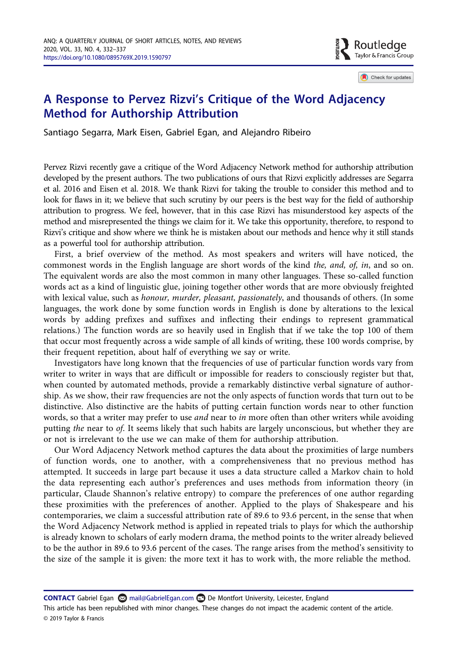**Routledge** Taylor & Francis Group

Check for updates

## A Response to Pervez Rizvi's Critique of the Word Adjacency Method for Authorship Attribution

Santiago Segarra, Mark Eisen, Gabriel Egan, and Alejandro Ribeiro

Pervez Rizvi recently gave a critique of the Word Adjacency Network method for authorship attribution developed by the present authors. The two publications of ours that Rizvi explicitly addresses are Segarra et al. 2016 and Eisen et al. 2018. We thank Rizvi for taking the trouble to consider this method and to look for flaws in it; we believe that such scrutiny by our peers is the best way for the field of authorship attribution to progress. We feel, however, that in this case Rizvi has misunderstood key aspects of the method and misrepresented the things we claim for it. We take this opportunity, therefore, to respond to Rizvi's critique and show where we think he is mistaken about our methods and hence why it still stands as a powerful tool for authorship attribution.

First, a brief overview of the method. As most speakers and writers will have noticed, the commonest words in the English language are short words of the kind the, and, of, in, and so on. The equivalent words are also the most common in many other languages. These so-called function words act as a kind of linguistic glue, joining together other words that are more obviously freighted with lexical value, such as *honour, murder, pleasant, passionately*, and thousands of others. (In some languages, the work done by some function words in English is done by alterations to the lexical words by adding prefixes and suffixes and inflecting their endings to represent grammatical relations.) The function words are so heavily used in English that if we take the top 100 of them that occur most frequently across a wide sample of all kinds of writing, these 100 words comprise, by their frequent repetition, about half of everything we say or write.

Investigators have long known that the frequencies of use of particular function words vary from writer to writer in ways that are difficult or impossible for readers to consciously register but that, when counted by automated methods, provide a remarkably distinctive verbal signature of authorship. As we show, their raw frequencies are not the only aspects of function words that turn out to be distinctive. Also distinctive are the habits of putting certain function words near to other function words, so that a writer may prefer to use and near to in more often than other writers while avoiding putting the near to of. It seems likely that such habits are largely unconscious, but whether they are or not is irrelevant to the use we can make of them for authorship attribution.

Our Word Adjacency Network method captures the data about the proximities of large numbers of function words, one to another, with a comprehensiveness that no previous method has attempted. It succeeds in large part because it uses a data structure called a Markov chain to hold the data representing each author's preferences and uses methods from information theory (in particular, Claude Shannon's relative entropy) to compare the preferences of one author regarding these proximities with the preferences of another. Applied to the plays of Shakespeare and his contemporaries, we claim a successful attribution rate of 89.6 to 93.6 percent, in the sense that when the Word Adjacency Network method is applied in repeated trials to plays for which the authorship is already known to scholars of early modern drama, the method points to the writer already believed to be the author in 89.6 to 93.6 percent of the cases. The range arises from the method's sensitivity to the size of the sample it is given: the more text it has to work with, the more reliable the method.

CONTACT Gabriel Egan mail@GabrielEgan.com De Montfort University, Leicester, England This article has been republished with minor changes. These changes do not impact the academic content of the article. © 2019 Taylor & Francis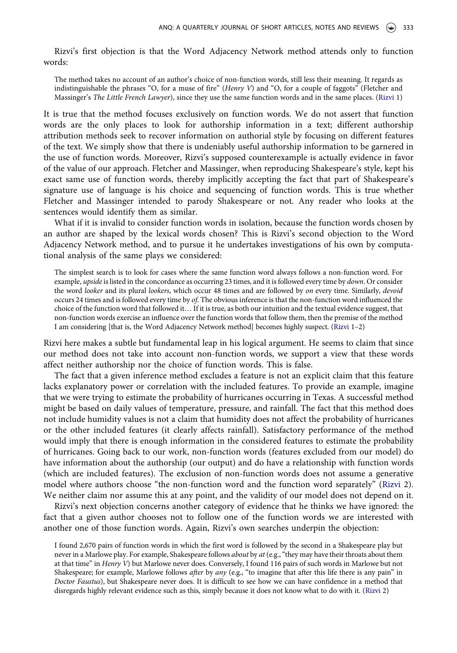Rizvi's first objection is that the Word Adjacency Network method attends only to function words:

The method takes no account of an author's choice of non-function words, still less their meaning. It regards as indistinguishable the phrases "O, for a muse of fire" (Henry V) and "O, for a couple of faggots" (Fletcher and Massinger's The Little French Lawyer), since they use the same function words and in the same places. [\(Rizvi](#page-5-0) 1)

It is true that the method focuses exclusively on function words. We do not assert that function words are the only places to look for authorship information in a text; different authorship attribution methods seek to recover information on authorial style by focusing on different features of the text. We simply show that there is undeniably useful authorship information to be garnered in the use of function words. Moreover, Rizvi's supposed counterexample is actually evidence in favor of the value of our approach. Fletcher and Massinger, when reproducing Shakespeare's style, kept his exact same use of function words, thereby implicitly accepting the fact that part of Shakespeare's signature use of language is his choice and sequencing of function words. This is true whether Fletcher and Massinger intended to parody Shakespeare or not. Any reader who looks at the sentences would identify them as similar.

What if it is invalid to consider function words in isolation, because the function words chosen by an author are shaped by the lexical words chosen? This is Rizvi's second objection to the Word Adjacency Network method, and to pursue it he undertakes investigations of his own by computational analysis of the same plays we considered:

The simplest search is to look for cases where the same function word always follows a non-function word. For example, upside is listed in the concordance as occurring 23 times, and it is followed every time by down. Or consider the word looker and its plural lookers, which occur 48 times and are followed by on every time. Similarly, devoid occurs 24 times and is followed every time by of. The obvious inference is that the non-function word influenced the choice of the function word that followed it… If it is true, as both our intuition and the textual evidence suggest, that non-function words exercise an influence over the function words that follow them, then the premise of the method I am considering [that is, the Word Adjacency Network method] becomes highly suspect. [\(Rizvi](#page-5-0) 1–2)

Rizvi here makes a subtle but fundamental leap in his logical argument. He seems to claim that since our method does not take into account non-function words, we support a view that these words affect neither authorship nor the choice of function words. This is false.

The fact that a given inference method excludes a feature is not an explicit claim that this feature lacks explanatory power or correlation with the included features. To provide an example, imagine that we were trying to estimate the probability of hurricanes occurring in Texas. A successful method might be based on daily values of temperature, pressure, and rainfall. The fact that this method does not include humidity values is not a claim that humidity does not affect the probability of hurricanes or the other included features (it clearly affects rainfall). Satisfactory performance of the method would imply that there is enough information in the considered features to estimate the probability of hurricanes. Going back to our work, non-function words (features excluded from our model) do have information about the authorship (our output) and do have a relationship with function words (which are included features). The exclusion of non-function words does not assume a generative model where authors choose "the non-function word and the function word separately" [\(Rizvi](#page-5-0) 2). We neither claim nor assume this at any point, and the validity of our model does not depend on it.

Rizvi's next objection concerns another category of evidence that he thinks we have ignored: the fact that a given author chooses not to follow one of the function words we are interested with another one of those function words. Again, Rizvi's own searches underpin the objection:

<span id="page-1-0"></span>I found 2,670 pairs of function words in which the first word is followed by the second in a Shakespeare play but never in a Marlowe play. For example, Shakespeare follows about by at (e.g., "they may have their throats about them at that time" in Henry V) but Marlowe never does. Conversely, I found 116 pairs of such words in Marlowe but not Shakespeare; for example, Marlowe follows after by any (e.g., "to imagine that after this life there is any pain" in Doctor Faustus), but Shakespeare never does. It is difficult to see how we can have confidence in a method that disregards highly relevant evidence such as this, simply because it does not know what to do with it. ([Rizvi](#page-5-0) 2)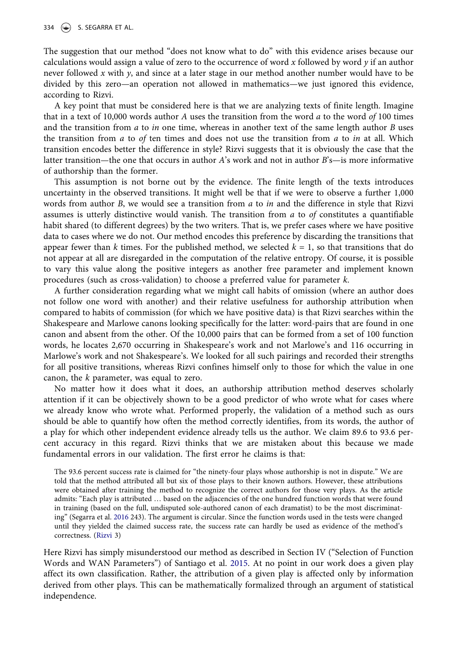The suggestion that our method "does not know what to do" with this evidence arises because our calculations would assign a value of zero to the occurrence of word x followed by word  $\gamma$  if an author never followed  $x$  with  $y$ , and since at a later stage in our method another number would have to be divided by this zero—an operation not allowed in mathematics—we just ignored this evidence, according to Rizvi.

A key point that must be considered here is that we are analyzing texts of finite length. Imagine that in a text of 10,000 words author A uses the transition from the word  $a$  to the word of 100 times and the transition from  $a$  to in one time, whereas in another text of the same length author  $B$  uses the transition from  $a$  to of ten times and does not use the transition from  $a$  to in at all. Which transition encodes better the difference in style? Rizvi suggests that it is obviously the case that the latter transition—the one that occurs in author  $A$ 's work and not in author  $B$ 's—is more informative of authorship than the former.

This assumption is not borne out by the evidence. The finite length of the texts introduces uncertainty in the observed transitions. It might well be that if we were to observe a further 1,000 words from author B, we would see a transition from a to in and the difference in style that Rizvi assumes is utterly distinctive would vanish. The transition from  $a$  to  $of$  constitutes a quantifiable habit shared (to different degrees) by the two writers. That is, we prefer cases where we have positive data to cases where we do not. Our method encodes this preference by discarding the transitions that appear fewer than k times. For the published method, we selected  $k = 1$ , so that transitions that do not appear at all are disregarded in the computation of the relative entropy. Of course, it is possible to vary this value along the positive integers as another free parameter and implement known procedures (such as cross-validation) to choose a preferred value for parameter  $k$ .

A further consideration regarding what we might call habits of omission (where an author does not follow one word with another) and their relative usefulness for authorship attribution when compared to habits of commission (for which we have positive data) is that Rizvi searches within the Shakespeare and Marlowe canons looking specifically for the latter: word-pairs that are found in one canon and absent from the other. Of the 10,000 pairs that can be formed from a set of 100 function words, he locates 2,670 occurring in Shakespeare's work and not Marlowe's and 116 occurring in Marlowe's work and not Shakespeare's. We looked for all such pairings and recorded their strengths for all positive transitions, whereas Rizvi confines himself only to those for which the value in one canon, the k parameter, was equal to zero.

No matter how it does what it does, an authorship attribution method deserves scholarly attention if it can be objectively shown to be a good predictor of who wrote what for cases where we already know who wrote what. Performed properly, the validation of a method such as ours should be able to quantify how often the method correctly identifies, from its words, the author of a play for which other independent evidence already tells us the author. We claim 89.6 to 93.6 percent accuracy in this regard. Rizvi thinks that we are mistaken about this because we made fundamental errors in our validation. The first error he claims is that:

The 93.6 percent success rate is claimed for "the ninety-four plays whose authorship is not in dispute." We are told that the method attributed all but six of those plays to their known authors. However, these attributions were obtained after training the method to recognize the correct authors for those very plays. As the article admits: "Each play is attributed … based on the adjacencies of the one hundred function words that were found in training (based on the full, undisputed sole-authored canon of each dramatist) to be the most discriminating" (Segarra et al. [2016](#page-5-1) 243). The argument is circular. Since the function words used in the tests were changed until they yielded the claimed success rate, the success rate can hardly be used as evidence of the method's correctness. [\(Rizvi](#page-5-0) 3)

<span id="page-2-1"></span><span id="page-2-0"></span>Here Rizvi has simply misunderstood our method as described in Section IV ("Selection of Function Words and WAN Parameters") of Santiago et al. [2015](#page-5-2). At no point in our work does a given play affect its own classification. Rather, the attribution of a given play is affected only by information derived from other plays. This can be mathematically formalized through an argument of statistical independence.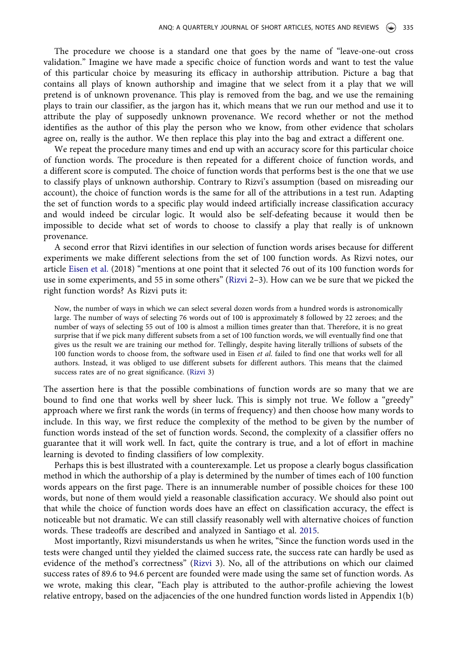The procedure we choose is a standard one that goes by the name of "leave-one-out cross validation." Imagine we have made a specific choice of function words and want to test the value of this particular choice by measuring its efficacy in authorship attribution. Picture a bag that contains all plays of known authorship and imagine that we select from it a play that we will pretend is of unknown provenance. This play is removed from the bag, and we use the remaining plays to train our classifier, as the jargon has it, which means that we run our method and use it to attribute the play of supposedly unknown provenance. We record whether or not the method identifies as the author of this play the person who we know, from other evidence that scholars agree on, really is the author. We then replace this play into the bag and extract a different one.

We repeat the procedure many times and end up with an accuracy score for this particular choice of function words. The procedure is then repeated for a different choice of function words, and a different score is computed. The choice of function words that performs best is the one that we use to classify plays of unknown authorship. Contrary to Rizvi's assumption (based on misreading our account), the choice of function words is the same for all of the attributions in a test run. Adapting the set of function words to a specific play would indeed artificially increase classification accuracy and would indeed be circular logic. It would also be self-defeating because it would then be impossible to decide what set of words to choose to classify a play that really is of unknown provenance.

<span id="page-3-0"></span>A second error that Rizvi identifies in our selection of function words arises because for different experiments we make different selections from the set of 100 function words. As Rizvi notes, our article [Eisen et al.](#page-5-3) (2018) "mentions at one point that it selected 76 out of its 100 function words for use in some experiments, and 55 in some others" [\(Rizvi](#page-5-0) 2–3). How can we be sure that we picked the right function words? As Rizvi puts it:

Now, the number of ways in which we can select several dozen words from a hundred words is astronomically large. The number of ways of selecting 76 words out of 100 is approximately 8 followed by 22 zeroes; and the number of ways of selecting 55 out of 100 is almost a million times greater than that. Therefore, it is no great surprise that if we pick many different subsets from a set of 100 function words, we will eventually find one that gives us the result we are training our method for. Tellingly, despite having literally trillions of subsets of the 100 function words to choose from, the software used in Eisen et al. failed to find one that works well for all authors. Instead, it was obliged to use different subsets for different authors. This means that the claimed success rates are of no great significance. [\(Rizvi](#page-5-0) 3)

The assertion here is that the possible combinations of function words are so many that we are bound to find one that works well by sheer luck. This is simply not true. We follow a "greedy" approach where we first rank the words (in terms of frequency) and then choose how many words to include. In this way, we first reduce the complexity of the method to be given by the number of function words instead of the set of function words. Second, the complexity of a classifier offers no guarantee that it will work well. In fact, quite the contrary is true, and a lot of effort in machine learning is devoted to finding classifiers of low complexity.

Perhaps this is best illustrated with a counterexample. Let us propose a clearly bogus classification method in which the authorship of a play is determined by the number of times each of 100 function words appears on the first page. There is an innumerable number of possible choices for these 100 words, but none of them would yield a reasonable classification accuracy. We should also point out that while the choice of function words does have an effect on classification accuracy, the effect is noticeable but not dramatic. We can still classify reasonably well with alternative choices of function words. These tradeoffs are described and analyzed in Santiago et al. [2015.](#page-5-2)

Most importantly, Rizvi misunderstands us when he writes, "Since the function words used in the tests were changed until they yielded the claimed success rate, the success rate can hardly be used as evidence of the method's correctness" [\(Rizvi](#page-5-0) 3). No, all of the attributions on which our claimed success rates of 89.6 to 94.6 percent are founded were made using the same set of function words. As we wrote, making this clear, "Each play is attributed to the author-profile achieving the lowest relative entropy, based on the adjacencies of the one hundred function words listed in Appendix 1(b)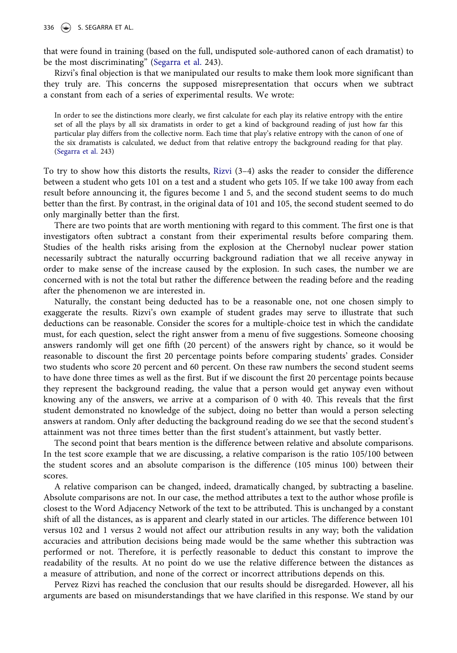336  $\leftrightarrow$  S. SEGARRA ET AL.

that were found in training (based on the full, undisputed sole-authored canon of each dramatist) to be the most discriminating" ([Segarra et al.](#page-5-1) 243).

Rizvi's final objection is that we manipulated our results to make them look more significant than they truly are. This concerns the supposed misrepresentation that occurs when we subtract a constant from each of a series of experimental results. We wrote:

In order to see the distinctions more clearly, we first calculate for each play its relative entropy with the entire set of all the plays by all six dramatists in order to get a kind of background reading of just how far this particular play differs from the collective norm. Each time that play's relative entropy with the canon of one of the six dramatists is calculated, we deduct from that relative entropy the background reading for that play. ([Segarra et al.](#page-5-1) 243)

To try to show how this distorts the results, [Rizvi](#page-5-0) (3–4) asks the reader to consider the difference between a student who gets 101 on a test and a student who gets 105. If we take 100 away from each result before announcing it, the figures become 1 and 5, and the second student seems to do much better than the first. By contrast, in the original data of 101 and 105, the second student seemed to do only marginally better than the first.

There are two points that are worth mentioning with regard to this comment. The first one is that investigators often subtract a constant from their experimental results before comparing them. Studies of the health risks arising from the explosion at the Chernobyl nuclear power station necessarily subtract the naturally occurring background radiation that we all receive anyway in order to make sense of the increase caused by the explosion. In such cases, the number we are concerned with is not the total but rather the difference between the reading before and the reading after the phenomenon we are interested in.

Naturally, the constant being deducted has to be a reasonable one, not one chosen simply to exaggerate the results. Rizvi's own example of student grades may serve to illustrate that such deductions can be reasonable. Consider the scores for a multiple-choice test in which the candidate must, for each question, select the right answer from a menu of five suggestions. Someone choosing answers randomly will get one fifth (20 percent) of the answers right by chance, so it would be reasonable to discount the first 20 percentage points before comparing students' grades. Consider two students who score 20 percent and 60 percent. On these raw numbers the second student seems to have done three times as well as the first. But if we discount the first 20 percentage points because they represent the background reading, the value that a person would get anyway even without knowing any of the answers, we arrive at a comparison of 0 with 40. This reveals that the first student demonstrated no knowledge of the subject, doing no better than would a person selecting answers at random. Only after deducting the background reading do we see that the second student's attainment was not three times better than the first student's attainment, but vastly better.

The second point that bears mention is the difference between relative and absolute comparisons. In the test score example that we are discussing, a relative comparison is the ratio 105/100 between the student scores and an absolute comparison is the difference (105 minus 100) between their scores.

A relative comparison can be changed, indeed, dramatically changed, by subtracting a baseline. Absolute comparisons are not. In our case, the method attributes a text to the author whose profile is closest to the Word Adjacency Network of the text to be attributed. This is unchanged by a constant shift of all the distances, as is apparent and clearly stated in our articles. The difference between 101 versus 102 and 1 versus 2 would not affect our attribution results in any way; both the validation accuracies and attribution decisions being made would be the same whether this subtraction was performed or not. Therefore, it is perfectly reasonable to deduct this constant to improve the readability of the results. At no point do we use the relative difference between the distances as a measure of attribution, and none of the correct or incorrect attributions depends on this.

Pervez Rizvi has reached the conclusion that our results should be disregarded. However, all his arguments are based on misunderstandings that we have clarified in this response. We stand by our